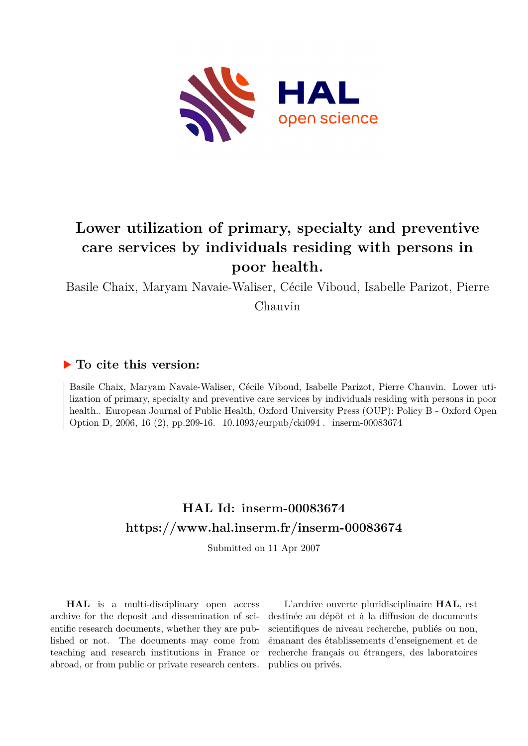

# **Lower utilization of primary, specialty and preventive care services by individuals residing with persons in poor health.**

Basile Chaix, Maryam Navaie-Waliser, Cécile Viboud, Isabelle Parizot, Pierre

Chauvin

## **To cite this version:**

Basile Chaix, Maryam Navaie-Waliser, Cécile Viboud, Isabelle Parizot, Pierre Chauvin. Lower utilization of primary, specialty and preventive care services by individuals residing with persons in poor health.. European Journal of Public Health, Oxford University Press (OUP): Policy B - Oxford Open Option D, 2006, 16 (2), pp.209-16.  $10.1093$ /eurpub/cki094. inserm-00083674

# **HAL Id: inserm-00083674 <https://www.hal.inserm.fr/inserm-00083674>**

Submitted on 11 Apr 2007

**HAL** is a multi-disciplinary open access archive for the deposit and dissemination of scientific research documents, whether they are published or not. The documents may come from teaching and research institutions in France or abroad, or from public or private research centers.

L'archive ouverte pluridisciplinaire **HAL**, est destinée au dépôt et à la diffusion de documents scientifiques de niveau recherche, publiés ou non, émanant des établissements d'enseignement et de recherche français ou étrangers, des laboratoires publics ou privés.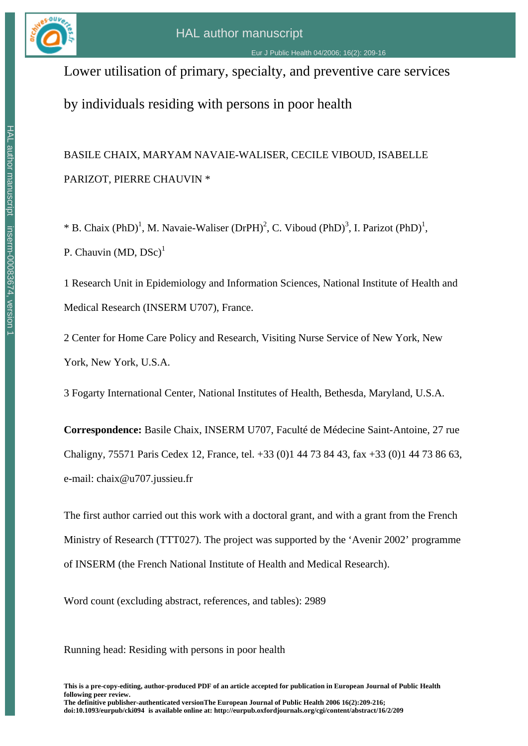

# Lower utilisation of primary, specialty, and preventive care services

by individuals residing with persons in poor health

# BASILE CHAIX, MARYAM NAVAIE-WALISER, CECILE VIBOUD, ISABELLE PARIZOT, PIERRE CHAUVIN \*

\* B. Chaix (PhD)<sup>1</sup>, M. Navaie-Waliser (DrPH)<sup>2</sup>, C. Viboud (PhD)<sup>3</sup>, I. Parizot (PhD)<sup>1</sup>, P. Chauvin  $(MD, DSc)^1$ 

1 Research Unit in Epidemiology and Information Sciences, National Institute of Health and Medical Research (INSERM U707), France.

2 Center for Home Care Policy and Research, Visiting Nurse Service of New York, New York, New York, U.S.A.

3 Fogarty International Center, National Institutes of Health, Bethesda, Maryland, U.S.A.

**Correspondence:** Basile Chaix, INSERM U707, Faculté de Médecine Saint-Antoine, 27 rue Chaligny, 75571 Paris Cedex 12, France, tel. +33 (0)1 44 73 84 43, fax +33 (0)1 44 73 86 63, e-mail: chaix@u707.jussieu.fr

The first author carried out this work with a doctoral grant, and with a grant from the French Ministry of Research (TTT027). The project was supported by the 'Avenir 2002' programme of INSERM (the French National Institute of Health and Medical Research).

Word count (excluding abstract, references, and tables): 2989

Running head: Residing with persons in poor health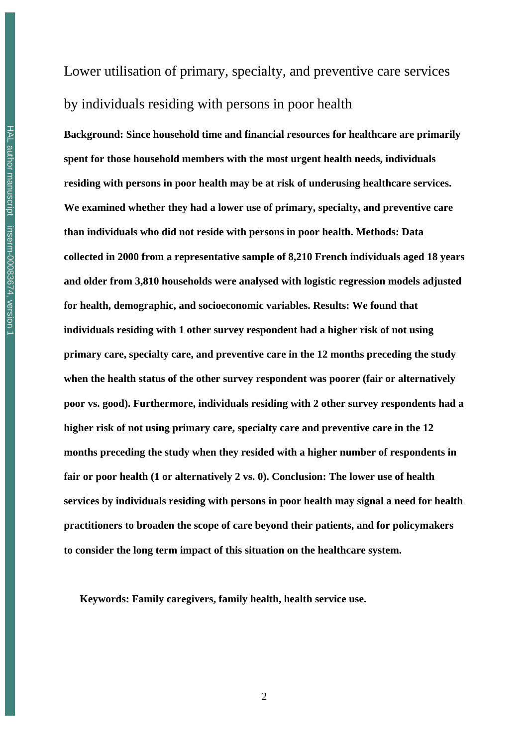Lower utilisation of primary, specialty, and preventive care services by individuals residing with persons in poor health

**Background: Since household time and financial resources for healthcare are primarily spent for those household members with the most urgent health needs, individuals residing with persons in poor health may be at risk of underusing healthcare services. We examined whether they had a lower use of primary, specialty, and preventive care than individuals who did not reside with persons in poor health. Methods: Data collected in 2000 from a representative sample of 8,210 French individuals aged 18 years and older from 3,810 households were analysed with logistic regression models adjusted for health, demographic, and socioeconomic variables. Results: We found that individuals residing with 1 other survey respondent had a higher risk of not using primary care, specialty care, and preventive care in the 12 months preceding the study when the health status of the other survey respondent was poorer (fair or alternatively poor vs. good). Furthermore, individuals residing with 2 other survey respondents had a higher risk of not using primary care, specialty care and preventive care in the 12 months preceding the study when they resided with a higher number of respondents in fair or poor health (1 or alternatively 2 vs. 0). Conclusion: The lower use of health services by individuals residing with persons in poor health may signal a need for health practitioners to broaden the scope of care beyond their patients, and for policymakers to consider the long term impact of this situation on the healthcare system.** 

**Keywords: Family caregivers, family health, health service use.**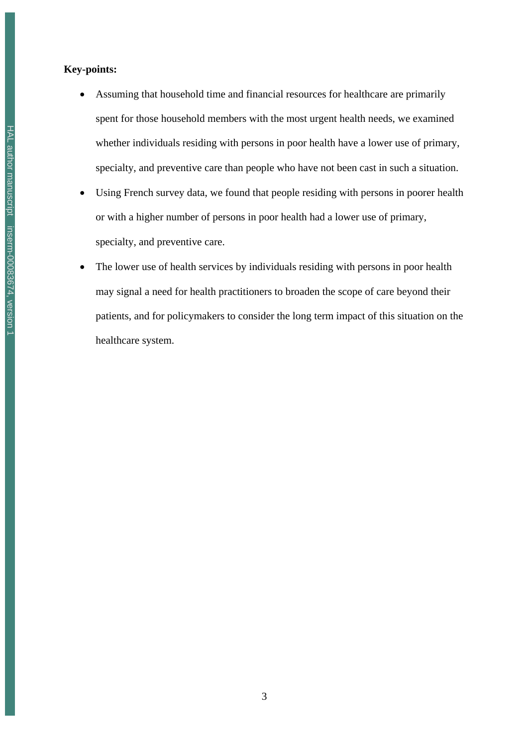### **Key-points:**

- Assuming that household time and financial resources for healthcare are primarily spent for those household members with the most urgent health needs, we examined whether individuals residing with persons in poor health have a lower use of primary, specialty, and preventive care than people who have not been cast in such a situation.
- Using French survey data, we found that people residing with persons in poorer health or with a higher number of persons in poor health had a lower use of primary, specialty, and preventive care.
- The lower use of health services by individuals residing with persons in poor health may signal a need for health practitioners to broaden the scope of care beyond their patients, and for policymakers to consider the long term impact of this situation on the healthcare system.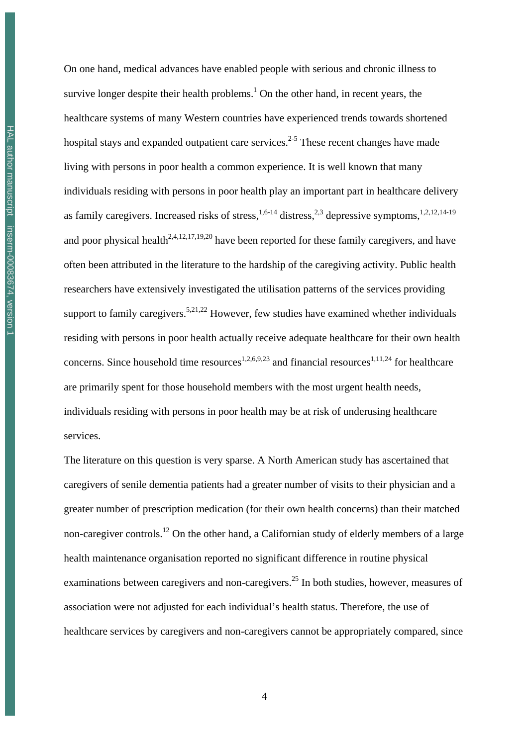On one hand, medical advances have enabled people with serious and chronic illness to survive longer despite their health problems.<sup>1</sup> On the other hand, in recent years, the healthcare systems of many Western countries have experienced trends towards shortened hospital stays and expanded outpatient care services.<sup>2-5</sup> These recent changes have made living with persons in poor health a common experience. It is well known that many individuals residing with persons in poor health play an important part in healthcare delivery as family caregivers. Increased risks of stress,<sup>1,6-14</sup> distress,<sup>2,3</sup> depressive symptoms,<sup>1,2,12,14-19</sup> and poor physical health<sup>2,4,12,17,19,20</sup> have been reported for these family caregivers, and have often been attributed in the literature to the hardship of the caregiving activity. Public health researchers have extensively investigated the utilisation patterns of the services providing support to family caregivers.<sup>5,21,22</sup> However, few studies have examined whether individuals residing with persons in poor health actually receive adequate healthcare for their own health concerns. Since household time resources<sup>1,2,6,9,23</sup> and financial resources<sup>1,11,24</sup> for healthcare are primarily spent for those household members with the most urgent health needs, individuals residing with persons in poor health may be at risk of underusing healthcare services.

The literature on this question is very sparse. A North American study has ascertained that caregivers of senile dementia patients had a greater number of visits to their physician and a greater number of prescription medication (for their own health concerns) than their matched non-caregiver controls.<sup>12</sup> On the other hand, a Californian study of elderly members of a large health maintenance organisation reported no significant difference in routine physical examinations between caregivers and non-caregivers.<sup>25</sup> In both studies, however, measures of association were not adjusted for each individual's health status. Therefore, the use of healthcare services by caregivers and non-caregivers cannot be appropriately compared, since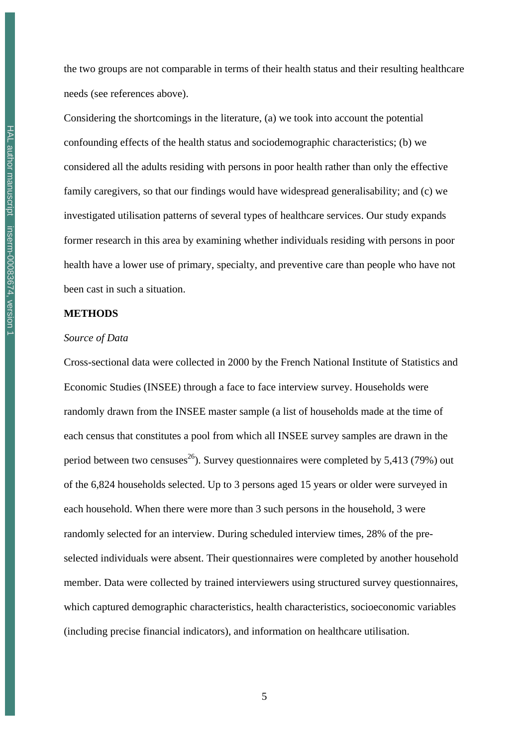the two groups are not comparable in terms of their health status and their resulting healthcare needs (see references above).

Considering the shortcomings in the literature, (a) we took into account the potential confounding effects of the health status and sociodemographic characteristics; (b) we considered all the adults residing with persons in poor health rather than only the effective family caregivers, so that our findings would have widespread generalisability; and (c) we investigated utilisation patterns of several types of healthcare services. Our study expands former research in this area by examining whether individuals residing with persons in poor health have a lower use of primary, specialty, and preventive care than people who have not been cast in such a situation.

#### **METHODS**

#### *Source of Data*

Cross-sectional data were collected in 2000 by the French National Institute of Statistics and Economic Studies (INSEE) through a face to face interview survey. Households were randomly drawn from the INSEE master sample (a list of households made at the time of each census that constitutes a pool from which all INSEE survey samples are drawn in the period between two censuses<sup>26</sup>). Survey questionnaires were completed by 5,413 (79%) out of the 6,824 households selected. Up to 3 persons aged 15 years or older were surveyed in each household. When there were more than 3 such persons in the household, 3 were randomly selected for an interview. During scheduled interview times, 28% of the preselected individuals were absent. Their questionnaires were completed by another household member. Data were collected by trained interviewers using structured survey questionnaires, which captured demographic characteristics, health characteristics, socioeconomic variables (including precise financial indicators), and information on healthcare utilisation.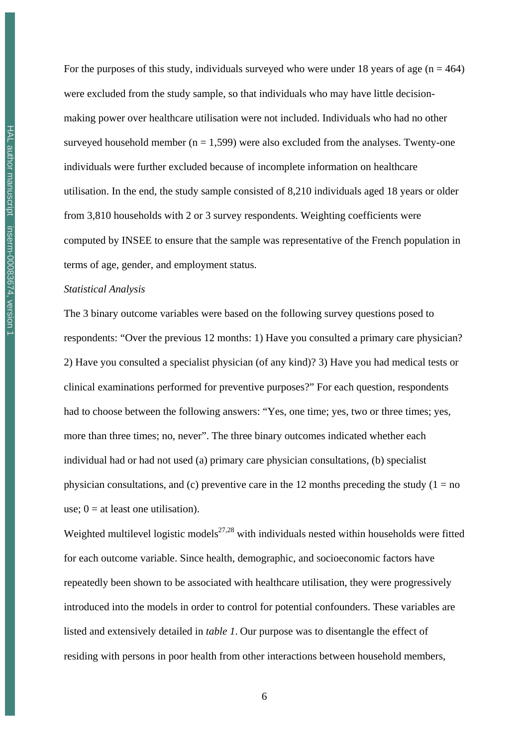For the purposes of this study, individuals surveyed who were under 18 years of age ( $n = 464$ ) were excluded from the study sample, so that individuals who may have little decisionmaking power over healthcare utilisation were not included. Individuals who had no other surveyed household member ( $n = 1,599$ ) were also excluded from the analyses. Twenty-one individuals were further excluded because of incomplete information on healthcare utilisation. In the end, the study sample consisted of 8,210 individuals aged 18 years or older from 3,810 households with 2 or 3 survey respondents. Weighting coefficients were computed by INSEE to ensure that the sample was representative of the French population in terms of age, gender, and employment status.

#### *Statistical Analysis*

The 3 binary outcome variables were based on the following survey questions posed to respondents: "Over the previous 12 months: 1) Have you consulted a primary care physician? 2) Have you consulted a specialist physician (of any kind)? 3) Have you had medical tests or clinical examinations performed for preventive purposes?" For each question, respondents had to choose between the following answers: "Yes, one time; yes, two or three times; yes, more than three times; no, never". The three binary outcomes indicated whether each individual had or had not used (a) primary care physician consultations, (b) specialist physician consultations, and (c) preventive care in the 12 months preceding the study ( $1 = no$ use;  $0 =$  at least one utilisation).

Weighted multilevel logistic models<sup>27,28</sup> with individuals nested within households were fitted for each outcome variable. Since health, demographic, and socioeconomic factors have repeatedly been shown to be associated with healthcare utilisation, they were progressively introduced into the models in order to control for potential confounders. These variables are listed and extensively detailed in *table 1*. Our purpose was to disentangle the effect of residing with persons in poor health from other interactions between household members,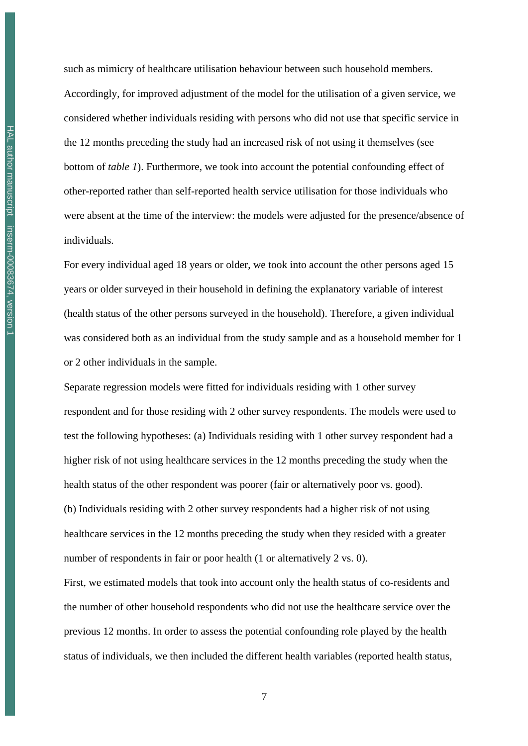such as mimicry of healthcare utilisation behaviour between such household members. Accordingly, for improved adjustment of the model for the utilisation of a given service, we considered whether individuals residing with persons who did not use that specific service in the 12 months preceding the study had an increased risk of not using it themselves (see bottom of *table 1*). Furthermore, we took into account the potential confounding effect of other-reported rather than self-reported health service utilisation for those individuals who were absent at the time of the interview: the models were adjusted for the presence/absence of individuals.

For every individual aged 18 years or older, we took into account the other persons aged 15 years or older surveyed in their household in defining the explanatory variable of interest (health status of the other persons surveyed in the household). Therefore, a given individual was considered both as an individual from the study sample and as a household member for 1 or 2 other individuals in the sample.

Separate regression models were fitted for individuals residing with 1 other survey respondent and for those residing with 2 other survey respondents. The models were used to test the following hypotheses: (a) Individuals residing with 1 other survey respondent had a higher risk of not using healthcare services in the 12 months preceding the study when the health status of the other respondent was poorer (fair or alternatively poor vs. good). (b) Individuals residing with 2 other survey respondents had a higher risk of not using healthcare services in the 12 months preceding the study when they resided with a greater number of respondents in fair or poor health (1 or alternatively 2 vs. 0).

First, we estimated models that took into account only the health status of co-residents and the number of other household respondents who did not use the healthcare service over the previous 12 months. In order to assess the potential confounding role played by the health status of individuals, we then included the different health variables (reported health status,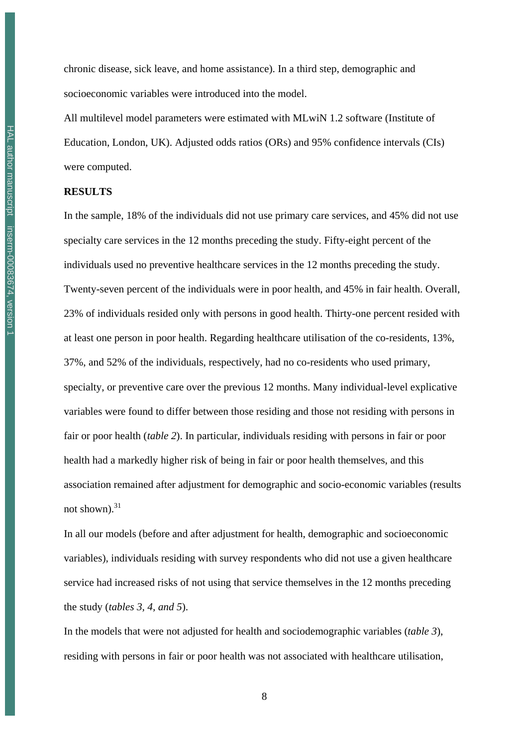chronic disease, sick leave, and home assistance). In a third step, demographic and socioeconomic variables were introduced into the model.

All multilevel model parameters were estimated with MLwiN 1.2 software (Institute of Education, London, UK). Adjusted odds ratios (ORs) and 95% confidence intervals (CIs) were computed.

#### **RESULTS**

In the sample, 18% of the individuals did not use primary care services, and 45% did not use specialty care services in the 12 months preceding the study. Fifty-eight percent of the individuals used no preventive healthcare services in the 12 months preceding the study. Twenty-seven percent of the individuals were in poor health, and 45% in fair health. Overall, 23% of individuals resided only with persons in good health. Thirty-one percent resided with at least one person in poor health. Regarding healthcare utilisation of the co-residents, 13%, 37%, and 52% of the individuals, respectively, had no co-residents who used primary, specialty, or preventive care over the previous 12 months. Many individual-level explicative variables were found to differ between those residing and those not residing with persons in fair or poor health (*table 2*). In particular, individuals residing with persons in fair or poor health had a markedly higher risk of being in fair or poor health themselves, and this association remained after adjustment for demographic and socio-economic variables (results not shown). $31$ 

In all our models (before and after adjustment for health, demographic and socioeconomic variables), individuals residing with survey respondents who did not use a given healthcare service had increased risks of not using that service themselves in the 12 months preceding the study (*tables 3, 4, and 5*).

In the models that were not adjusted for health and sociodemographic variables (*table 3*), residing with persons in fair or poor health was not associated with healthcare utilisation,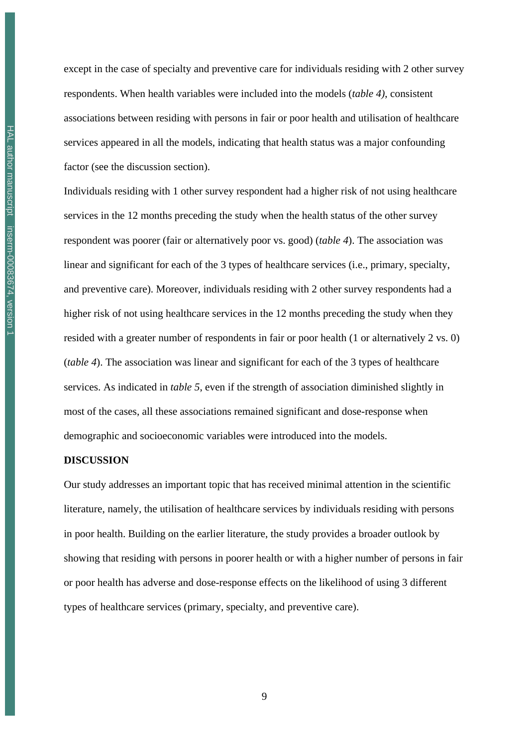except in the case of specialty and preventive care for individuals residing with 2 other survey respondents. When health variables were included into the models (*table 4)*, consistent associations between residing with persons in fair or poor health and utilisation of healthcare services appeared in all the models, indicating that health status was a major confounding factor (see the discussion section).

Individuals residing with 1 other survey respondent had a higher risk of not using healthcare services in the 12 months preceding the study when the health status of the other survey respondent was poorer (fair or alternatively poor vs. good) (*table 4*). The association was linear and significant for each of the 3 types of healthcare services (i.e., primary, specialty, and preventive care). Moreover, individuals residing with 2 other survey respondents had a higher risk of not using healthcare services in the 12 months preceding the study when they resided with a greater number of respondents in fair or poor health (1 or alternatively 2 vs. 0) (*table 4*). The association was linear and significant for each of the 3 types of healthcare services. As indicated in *table 5*, even if the strength of association diminished slightly in most of the cases, all these associations remained significant and dose-response when demographic and socioeconomic variables were introduced into the models.

#### **DISCUSSION**

Our study addresses an important topic that has received minimal attention in the scientific literature, namely, the utilisation of healthcare services by individuals residing with persons in poor health. Building on the earlier literature, the study provides a broader outlook by showing that residing with persons in poorer health or with a higher number of persons in fair or poor health has adverse and dose-response effects on the likelihood of using 3 different types of healthcare services (primary, specialty, and preventive care).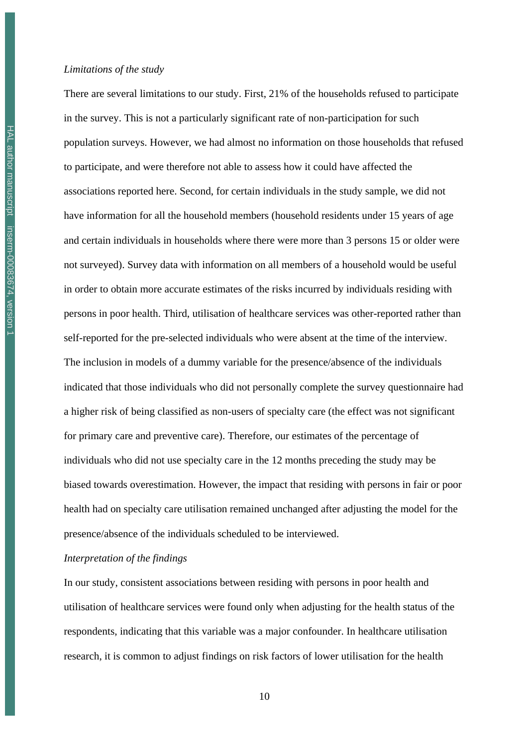There are several limitations to our study. First, 21% of the households refused to participate in the survey. This is not a particularly significant rate of non-participation for such population surveys. However, we had almost no information on those households that refused to participate, and were therefore not able to assess how it could have affected the associations reported here. Second, for certain individuals in the study sample, we did not have information for all the household members (household residents under 15 years of age and certain individuals in households where there were more than 3 persons 15 or older were not surveyed). Survey data with information on all members of a household would be useful in order to obtain more accurate estimates of the risks incurred by individuals residing with persons in poor health. Third, utilisation of healthcare services was other-reported rather than self-reported for the pre-selected individuals who were absent at the time of the interview. The inclusion in models of a dummy variable for the presence/absence of the individuals indicated that those individuals who did not personally complete the survey questionnaire had a higher risk of being classified as non-users of specialty care (the effect was not significant for primary care and preventive care). Therefore, our estimates of the percentage of individuals who did not use specialty care in the 12 months preceding the study may be biased towards overestimation. However, the impact that residing with persons in fair or poor health had on specialty care utilisation remained unchanged after adjusting the model for the presence/absence of the individuals scheduled to be interviewed.

### *Interpretation of the findings*

In our study, consistent associations between residing with persons in poor health and utilisation of healthcare services were found only when adjusting for the health status of the respondents, indicating that this variable was a major confounder. In healthcare utilisation research, it is common to adjust findings on risk factors of lower utilisation for the health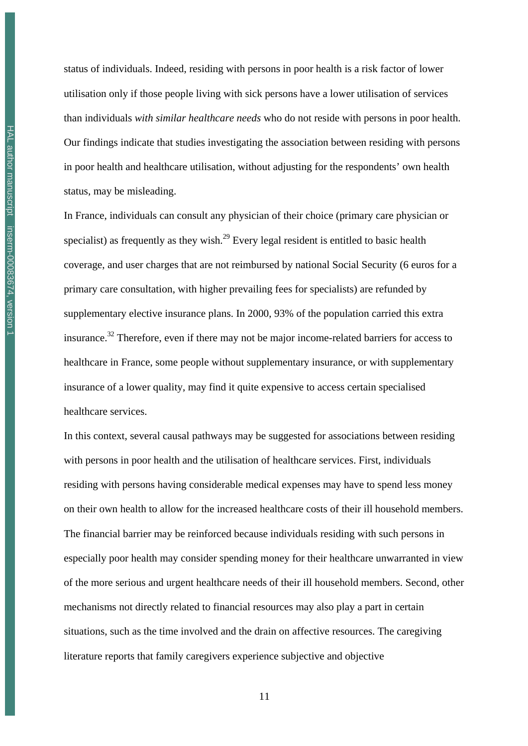status of individuals. Indeed, residing with persons in poor health is a risk factor of lower utilisation only if those people living with sick persons have a lower utilisation of services than individuals *with similar healthcare needs* who do not reside with persons in poor health. Our findings indicate that studies investigating the association between residing with persons in poor health and healthcare utilisation, without adjusting for the respondents' own health status, may be misleading.

In France, individuals can consult any physician of their choice (primary care physician or specialist) as frequently as they wish.<sup>29</sup> Every legal resident is entitled to basic health coverage, and user charges that are not reimbursed by national Social Security (6 euros for a primary care consultation, with higher prevailing fees for specialists) are refunded by supplementary elective insurance plans. In 2000, 93% of the population carried this extra insurance.<sup>32</sup> Therefore, even if there may not be major income-related barriers for access to healthcare in France, some people without supplementary insurance, or with supplementary insurance of a lower quality, may find it quite expensive to access certain specialised healthcare services.

In this context, several causal pathways may be suggested for associations between residing with persons in poor health and the utilisation of healthcare services. First, individuals residing with persons having considerable medical expenses may have to spend less money on their own health to allow for the increased healthcare costs of their ill household members. The financial barrier may be reinforced because individuals residing with such persons in especially poor health may consider spending money for their healthcare unwarranted in view of the more serious and urgent healthcare needs of their ill household members. Second, other mechanisms not directly related to financial resources may also play a part in certain situations, such as the time involved and the drain on affective resources. The caregiving literature reports that family caregivers experience subjective and objective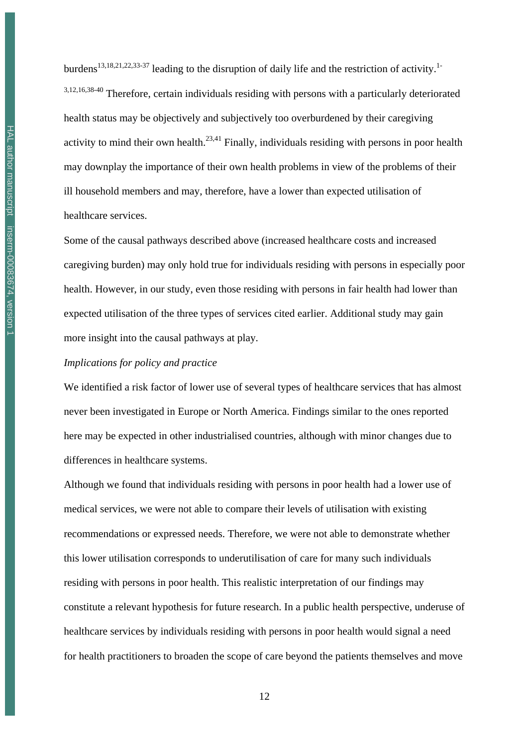HAL author manuscript inserm-00083674, version 1 HAL author manuscript inserm-00083674, version 1 burdens<sup>13,18,21,22,33-37</sup> leading to the disruption of daily life and the restriction of activity.<sup>1-</sup> 3,12,16,38-40 Therefore, certain individuals residing with persons with a particularly deteriorated health status may be objectively and subjectively too overburdened by their caregiving activity to mind their own health.<sup>23,41</sup> Finally, individuals residing with persons in poor health may downplay the importance of their own health problems in view of the problems of their ill household members and may, therefore, have a lower than expected utilisation of healthcare services.

Some of the causal pathways described above (increased healthcare costs and increased caregiving burden) may only hold true for individuals residing with persons in especially poor health. However, in our study, even those residing with persons in fair health had lower than expected utilisation of the three types of services cited earlier. Additional study may gain more insight into the causal pathways at play.

### *Implications for policy and practice*

We identified a risk factor of lower use of several types of healthcare services that has almost never been investigated in Europe or North America. Findings similar to the ones reported here may be expected in other industrialised countries, although with minor changes due to differences in healthcare systems.

Although we found that individuals residing with persons in poor health had a lower use of medical services, we were not able to compare their levels of utilisation with existing recommendations or expressed needs. Therefore, we were not able to demonstrate whether this lower utilisation corresponds to underutilisation of care for many such individuals residing with persons in poor health. This realistic interpretation of our findings may constitute a relevant hypothesis for future research. In a public health perspective, underuse of healthcare services by individuals residing with persons in poor health would signal a need for health practitioners to broaden the scope of care beyond the patients themselves and move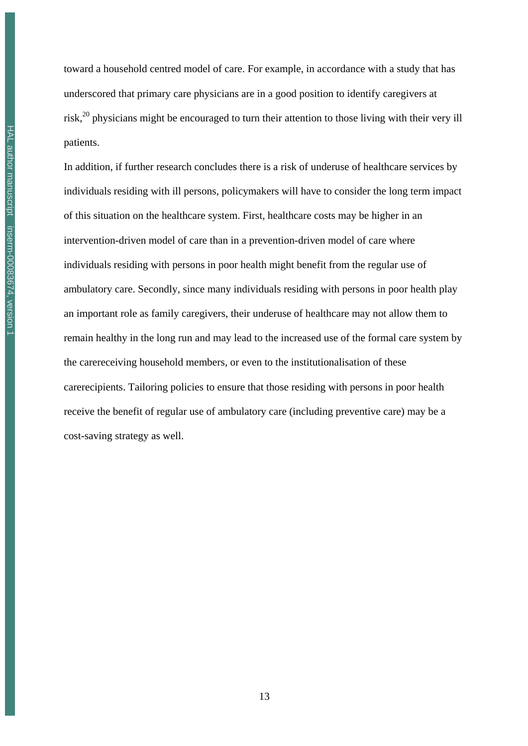toward a household centred model of care. For example, in accordance with a study that has underscored that primary care physicians are in a good position to identify caregivers at risk,<sup>20</sup> physicians might be encouraged to turn their attention to those living with their very ill patients.

In addition, if further research concludes there is a risk of underuse of healthcare services by individuals residing with ill persons, policymakers will have to consider the long term impact of this situation on the healthcare system. First, healthcare costs may be higher in an intervention-driven model of care than in a prevention-driven model of care where individuals residing with persons in poor health might benefit from the regular use of ambulatory care. Secondly, since many individuals residing with persons in poor health play an important role as family caregivers, their underuse of healthcare may not allow them to remain healthy in the long run and may lead to the increased use of the formal care system by the carereceiving household members, or even to the institutionalisation of these carerecipients. Tailoring policies to ensure that those residing with persons in poor health receive the benefit of regular use of ambulatory care (including preventive care) may be a cost-saving strategy as well.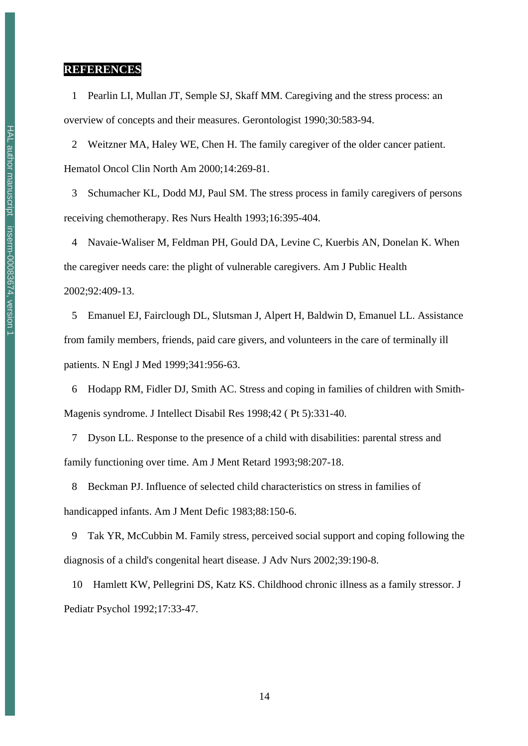### **REFERENCES**

 1 Pearlin LI, Mullan JT, Semple SJ, Skaff MM. Caregiving and the stress process: an overview of concepts and their measures. Gerontologist 1990;30:583-94.

 2 Weitzner MA, Haley WE, Chen H. The family caregiver of the older cancer patient. Hematol Oncol Clin North Am 2000;14:269-81.

 3 Schumacher KL, Dodd MJ, Paul SM. The stress process in family caregivers of persons receiving chemotherapy. Res Nurs Health 1993;16:395-404.

 4 Navaie-Waliser M, Feldman PH, Gould DA, Levine C, Kuerbis AN, Donelan K. When the caregiver needs care: the plight of vulnerable caregivers. Am J Public Health 2002;92:409-13.

 5 Emanuel EJ, Fairclough DL, Slutsman J, Alpert H, Baldwin D, Emanuel LL. Assistance from family members, friends, paid care givers, and volunteers in the care of terminally ill patients. N Engl J Med 1999;341:956-63.

 6 Hodapp RM, Fidler DJ, Smith AC. Stress and coping in families of children with Smith-Magenis syndrome. J Intellect Disabil Res 1998;42 ( Pt 5):331-40.

 7 Dyson LL. Response to the presence of a child with disabilities: parental stress and family functioning over time. Am J Ment Retard 1993;98:207-18.

 8 Beckman PJ. Influence of selected child characteristics on stress in families of handicapped infants. Am J Ment Defic 1983;88:150-6.

 9 Tak YR, McCubbin M. Family stress, perceived social support and coping following the diagnosis of a child's congenital heart disease. J Adv Nurs 2002;39:190-8.

 10 Hamlett KW, Pellegrini DS, Katz KS. Childhood chronic illness as a family stressor. J Pediatr Psychol 1992;17:33-47.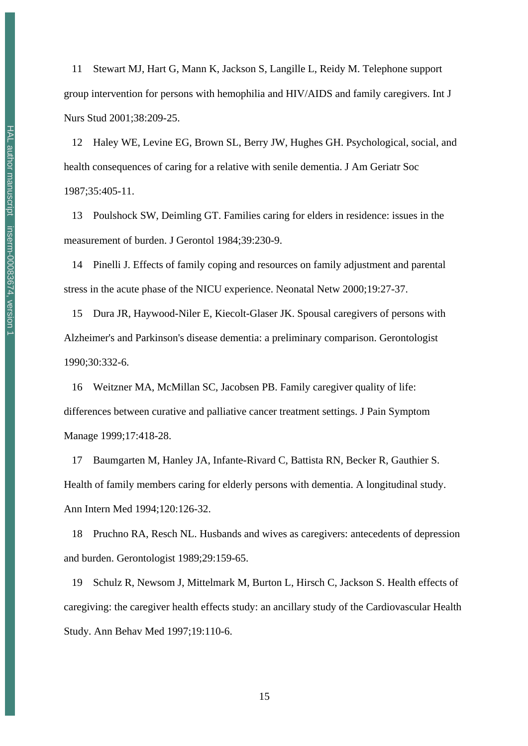11 Stewart MJ, Hart G, Mann K, Jackson S, Langille L, Reidy M. Telephone support group intervention for persons with hemophilia and HIV/AIDS and family caregivers. Int J Nurs Stud 2001;38:209-25.

 12 Haley WE, Levine EG, Brown SL, Berry JW, Hughes GH. Psychological, social, and health consequences of caring for a relative with senile dementia. J Am Geriatr Soc 1987;35:405-11.

 13 Poulshock SW, Deimling GT. Families caring for elders in residence: issues in the measurement of burden. J Gerontol 1984;39:230-9.

 14 Pinelli J. Effects of family coping and resources on family adjustment and parental stress in the acute phase of the NICU experience. Neonatal Netw 2000;19:27-37.

 15 Dura JR, Haywood-Niler E, Kiecolt-Glaser JK. Spousal caregivers of persons with Alzheimer's and Parkinson's disease dementia: a preliminary comparison. Gerontologist 1990;30:332-6.

 16 Weitzner MA, McMillan SC, Jacobsen PB. Family caregiver quality of life: differences between curative and palliative cancer treatment settings. J Pain Symptom Manage 1999;17:418-28.

 17 Baumgarten M, Hanley JA, Infante-Rivard C, Battista RN, Becker R, Gauthier S. Health of family members caring for elderly persons with dementia. A longitudinal study. Ann Intern Med 1994;120:126-32.

 18 Pruchno RA, Resch NL. Husbands and wives as caregivers: antecedents of depression and burden. Gerontologist 1989;29:159-65.

 19 Schulz R, Newsom J, Mittelmark M, Burton L, Hirsch C, Jackson S. Health effects of caregiving: the caregiver health effects study: an ancillary study of the Cardiovascular Health Study. Ann Behav Med 1997;19:110-6.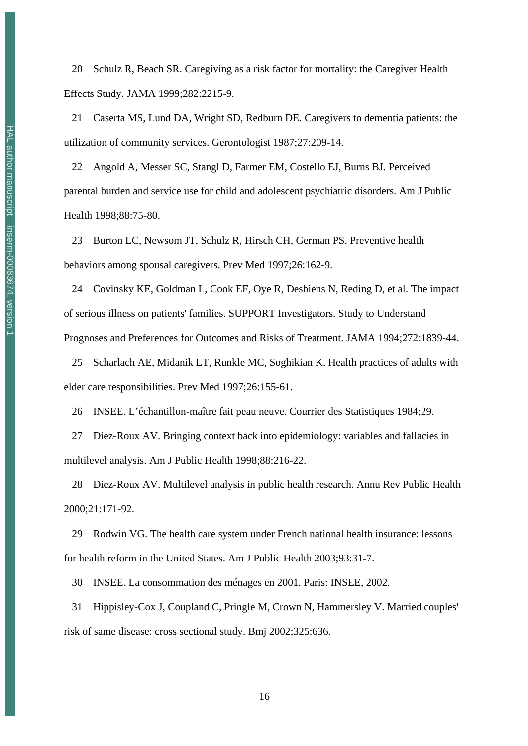20 Schulz R, Beach SR. Caregiving as a risk factor for mortality: the Caregiver Health Effects Study. JAMA 1999;282:2215-9.

 21 Caserta MS, Lund DA, Wright SD, Redburn DE. Caregivers to dementia patients: the utilization of community services. Gerontologist 1987;27:209-14.

 22 Angold A, Messer SC, Stangl D, Farmer EM, Costello EJ, Burns BJ. Perceived parental burden and service use for child and adolescent psychiatric disorders. Am J Public Health 1998;88:75-80.

 23 Burton LC, Newsom JT, Schulz R, Hirsch CH, German PS. Preventive health behaviors among spousal caregivers. Prev Med 1997;26:162-9.

 24 Covinsky KE, Goldman L, Cook EF, Oye R, Desbiens N, Reding D, et al. The impact of serious illness on patients' families. SUPPORT Investigators. Study to Understand Prognoses and Preferences for Outcomes and Risks of Treatment. JAMA 1994;272:1839-44.

 25 Scharlach AE, Midanik LT, Runkle MC, Soghikian K. Health practices of adults with elder care responsibilities. Prev Med 1997;26:155-61.

26 INSEE. L'échantillon-maître fait peau neuve. Courrier des Statistiques 1984;29.

 27 Diez-Roux AV. Bringing context back into epidemiology: variables and fallacies in multilevel analysis. Am J Public Health 1998;88:216-22.

 28 Diez-Roux AV. Multilevel analysis in public health research. Annu Rev Public Health 2000;21:171-92.

 29 Rodwin VG. The health care system under French national health insurance: lessons for health reform in the United States. Am J Public Health 2003;93:31-7.

30 INSEE. La consommation des ménages en 2001. Paris: INSEE, 2002.

 31 Hippisley-Cox J, Coupland C, Pringle M, Crown N, Hammersley V. Married couples' risk of same disease: cross sectional study. Bmj 2002;325:636.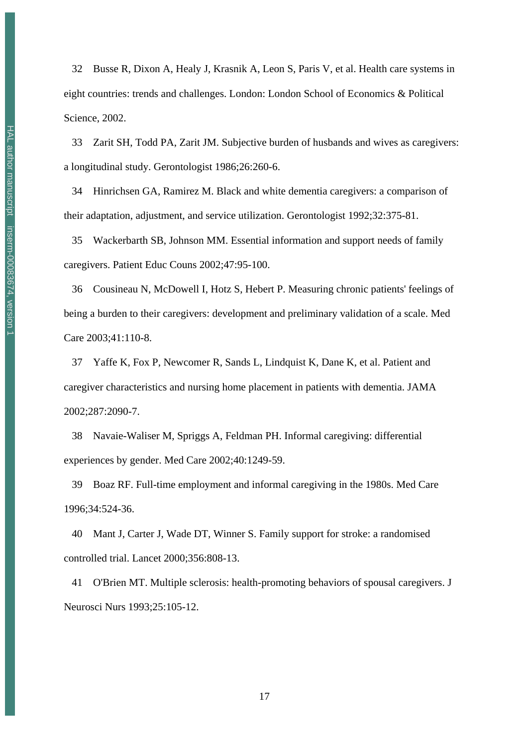32 Busse R, Dixon A, Healy J, Krasnik A, Leon S, Paris V, et al. Health care systems in eight countries: trends and challenges. London: London School of Economics & Political Science, 2002.

 33 Zarit SH, Todd PA, Zarit JM. Subjective burden of husbands and wives as caregivers: a longitudinal study. Gerontologist 1986;26:260-6.

 34 Hinrichsen GA, Ramirez M. Black and white dementia caregivers: a comparison of their adaptation, adjustment, and service utilization. Gerontologist 1992;32:375-81.

 35 Wackerbarth SB, Johnson MM. Essential information and support needs of family caregivers. Patient Educ Couns 2002;47:95-100.

 36 Cousineau N, McDowell I, Hotz S, Hebert P. Measuring chronic patients' feelings of being a burden to their caregivers: development and preliminary validation of a scale. Med Care 2003;41:110-8.

 37 Yaffe K, Fox P, Newcomer R, Sands L, Lindquist K, Dane K, et al. Patient and caregiver characteristics and nursing home placement in patients with dementia. JAMA 2002;287:2090-7.

 38 Navaie-Waliser M, Spriggs A, Feldman PH. Informal caregiving: differential experiences by gender. Med Care 2002;40:1249-59.

 39 Boaz RF. Full-time employment and informal caregiving in the 1980s. Med Care 1996;34:524-36.

 40 Mant J, Carter J, Wade DT, Winner S. Family support for stroke: a randomised controlled trial. Lancet 2000;356:808-13.

 41 O'Brien MT. Multiple sclerosis: health-promoting behaviors of spousal caregivers. J Neurosci Nurs 1993;25:105-12.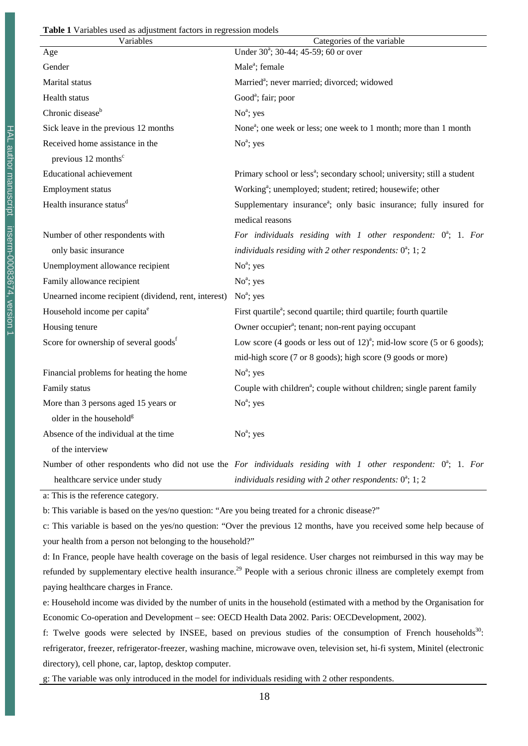#### **Table 1** Variables used as adjustment factors in regression models

| Variables                                            | Categories of the variable                                                                                       |
|------------------------------------------------------|------------------------------------------------------------------------------------------------------------------|
| Age                                                  | Under 30 <sup>a</sup> ; 30-44; 45-59; 60 or over                                                                 |
| Gender                                               | Male <sup>a</sup> ; female                                                                                       |
| Marital status                                       | Married <sup>a</sup> ; never married; divorced; widowed                                                          |
| Health status                                        | Good <sup>a</sup> ; fair; poor                                                                                   |
| Chronic disease <sup>b</sup>                         | $No^a$ ; yes                                                                                                     |
| Sick leave in the previous 12 months                 | None <sup>a</sup> ; one week or less; one week to 1 month; more than 1 month                                     |
| Received home assistance in the                      | $Noa$ ; yes                                                                                                      |
| previous 12 months <sup>c</sup>                      |                                                                                                                  |
| <b>Educational achievement</b>                       | Primary school or less <sup>a</sup> ; secondary school; university; still a student                              |
| Employment status                                    | Working <sup>a</sup> ; unemployed; student; retired; housewife; other                                            |
| Health insurance status <sup>d</sup>                 | Supplementary insurance <sup>a</sup> ; only basic insurance; fully insured for                                   |
|                                                      | medical reasons                                                                                                  |
| Number of other respondents with                     | For individuals residing with $1$ other respondent: $0^a$ ; 1. For                                               |
| only basic insurance                                 | individuals residing with 2 other respondents: $0^a$ ; 1; 2                                                      |
| Unemployment allowance recipient                     | $No^a$ ; yes                                                                                                     |
| Family allowance recipient                           | $No^a$ ; yes                                                                                                     |
| Unearned income recipient (dividend, rent, interest) | $No^a$ ; yes                                                                                                     |
| Household income per capita <sup>e</sup>             | First quartile <sup>a</sup> ; second quartile; third quartile; fourth quartile                                   |
| Housing tenure                                       | Owner occupier <sup>a</sup> ; tenant; non-rent paying occupant                                                   |
| Score for ownership of several goods <sup>f</sup>    | Low score (4 goods or less out of $12$ ) <sup>a</sup> ; mid-low score (5 or 6 goods);                            |
|                                                      | mid-high score (7 or 8 goods); high score (9 goods or more)                                                      |
| Financial problems for heating the home              | $No^a$ ; yes                                                                                                     |
| Family status                                        | Couple with children <sup>a</sup> ; couple without children; single parent family                                |
| More than 3 persons aged 15 years or                 | $No^a$ ; yes                                                                                                     |
| older in the household <sup>g</sup>                  |                                                                                                                  |
| Absence of the individual at the time                | $No^a$ ; yes                                                                                                     |
| of the interview                                     |                                                                                                                  |
|                                                      | Number of other respondents who did not use the For individuals residing with 1 other respondent: $0^a$ ; 1. For |
| healthcare service under study                       | individuals residing with 2 other respondents: $0^a$ ; 1; 2                                                      |

a: This is the reference category.

b: This variable is based on the yes/no question: "Are you being treated for a chronic disease?"

c: This variable is based on the yes/no question: "Over the previous 12 months, have you received some help because of your health from a person not belonging to the household?"

d: In France, people have health coverage on the basis of legal residence. User charges not reimbursed in this way may be refunded by supplementary elective health insurance.<sup>29</sup> People with a serious chronic illness are completely exempt from paying healthcare charges in France.

e: Household income was divided by the number of units in the household (estimated with a method by the Organisation for Economic Co-operation and Development – see: OECD Health Data 2002. Paris: OECDevelopment, 2002).

f: Twelve goods were selected by INSEE, based on previous studies of the consumption of French households<sup>30</sup>: refrigerator, freezer, refrigerator-freezer, washing machine, microwave oven, television set, hi-fi system, Minitel (electronic directory), cell phone, car, laptop, desktop computer.

g: The variable was only introduced in the model for individuals residing with 2 other respondents.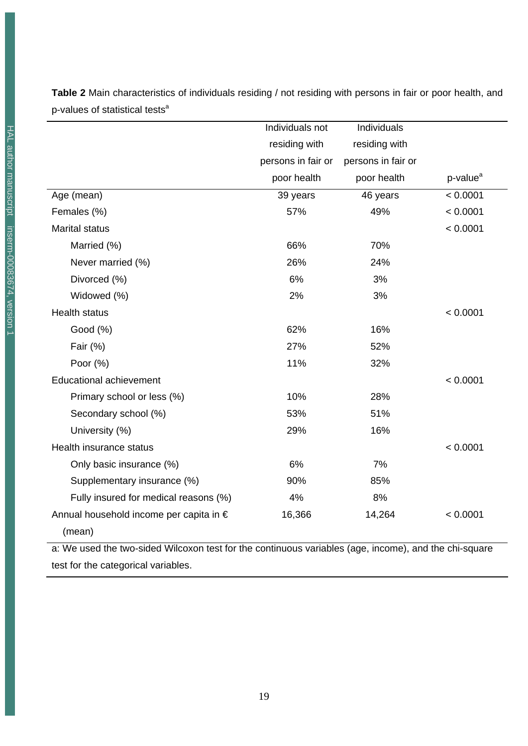Individuals not residing with persons in fair or poor health Individuals residing with persons in fair or poor health p-value<sup>a</sup> Age (mean) 39 years 46 years < 0.0001 Females (%) 57% 49% < 0.0001 Marital status < 0.0001 Married (%) 86% 70% Never married (%) 26% 24% Divorced (%) 6% 6% 3% Widowed (%) 3% 3% Health status < 0.0001 Good (%) 62% 16% Fair (%) 27% 52% Poor (%) 32% 32% Educational achievement < 0.0001 Primary school or less (%) 10% 28% Secondary school (%) 53% 51% University (%) 29% 29% 16% Health insurance status < 0.0001 Only basic insurance (%) 6% 6% 7% Supplementary insurance (%) 85% 85% Fully insured for medical reasons (%) 4% 4% 8% Annual household income per capita in € (mean) 16,366 14,264 < 0.0001

**Table 2** Main characteristics of individuals residing / not residing with persons in fair or poor health, and p-values of statistical tests<sup>a</sup>

a: We used the two-sided Wilcoxon test for the continuous variables (age, income), and the chi-square test for the categorical variables.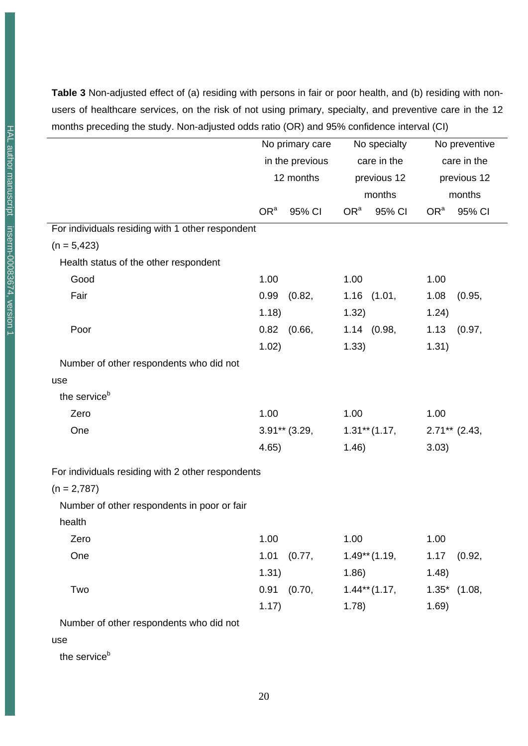**Table 3** Non-adjusted effect of (a) residing with persons in fair or poor health, and (b) residing with nonusers of healthcare services, on the risk of not using primary, specialty, and preventive care in the 12 months preceding the study. Non-adjusted odds ratio (OR) and 95% confidence interval (CI)

|                                                   | No primary care |                 | No specialty    |                  | No preventive   |                 |
|---------------------------------------------------|-----------------|-----------------|-----------------|------------------|-----------------|-----------------|
|                                                   | in the previous |                 | care in the     |                  | care in the     |                 |
|                                                   | 12 months       |                 | previous 12     |                  | previous 12     |                 |
|                                                   |                 |                 | months          |                  | months          |                 |
|                                                   | OR <sup>a</sup> | 95% CI          | OR <sup>a</sup> | 95% CI           | OR <sup>a</sup> | 95% CI          |
| For individuals residing with 1 other respondent  |                 |                 |                 |                  |                 |                 |
| $(n = 5,423)$                                     |                 |                 |                 |                  |                 |                 |
| Health status of the other respondent             |                 |                 |                 |                  |                 |                 |
| Good                                              | 1.00            |                 | 1.00            |                  | 1.00            |                 |
| Fair                                              | 0.99            | (0.82,          |                 | $1.16$ $(1.01,$  | 1.08            | (0.95,          |
|                                                   | 1.18)           |                 | 1.32)           |                  | 1.24)           |                 |
| Poor                                              | 0.82            | (0.66,          |                 | 1.14 (0.98,      | 1.13            | (0.97,          |
|                                                   | 1.02)           |                 | 1.33)           |                  | 1.31)           |                 |
| Number of other respondents who did not           |                 |                 |                 |                  |                 |                 |
| use                                               |                 |                 |                 |                  |                 |                 |
| the service <sup>b</sup>                          |                 |                 |                 |                  |                 |                 |
| Zero                                              | 1.00            |                 | 1.00            |                  | 1.00            |                 |
| One                                               |                 | $3.91**$ (3.29, |                 | $1.31***$ (1.17, | $2.71**$ (2.43, |                 |
|                                                   | 4.65)           |                 | 1.46)           |                  | 3.03)           |                 |
| For individuals residing with 2 other respondents |                 |                 |                 |                  |                 |                 |
| $(n = 2,787)$                                     |                 |                 |                 |                  |                 |                 |
| Number of other respondents in poor or fair       |                 |                 |                 |                  |                 |                 |
| health                                            |                 |                 |                 |                  |                 |                 |
| Zero                                              | 1.00            |                 | 1.00            |                  | 1.00            |                 |
| One                                               | 1.01            | (0.77,          |                 | $1.49**$ (1.19,  | 1.17            | (0.92,          |
|                                                   | 1.31)           |                 | 1.86)           |                  | 1.48)           |                 |
| Two                                               | 0.91            | (0.70,          |                 | $1.44**$ (1.17,  |                 | $1.35^*$ (1.08, |
|                                                   | 1.17)           |                 | 1.78)           |                  | 1.69)           |                 |
| Number of other respondents who did not           |                 |                 |                 |                  |                 |                 |

#### use

the service<sup>b</sup>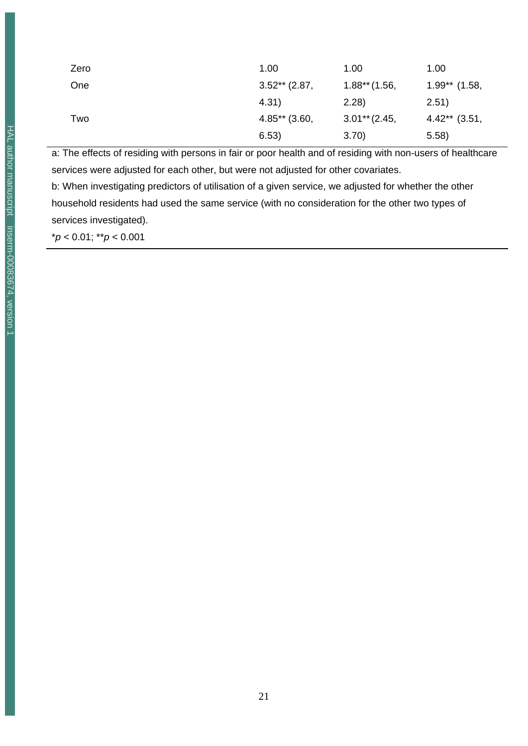| Zero | 1.00            | 1.00            | 1.00            |
|------|-----------------|-----------------|-----------------|
| One  | $3.52**$ (2.87, | $1.88**$ (1.56, | $1.99**$ (1.58, |
|      | 4.31)           | 2.28)           | 2.51)           |
| Two  | $4.85**$ (3.60, | $3.01**$ (2.45, | $4.42**$ (3.51, |
|      | 6.53)           | 3.70)           | (5.58)          |

a: The effects of residing with persons in fair or poor health and of residing with non-users of healthcare services were adjusted for each other, but were not adjusted for other covariates.

b: When investigating predictors of utilisation of a given service, we adjusted for whether the other household residents had used the same service (with no consideration for the other two types of services investigated).

\**p* < 0.01; \*\**p* < 0.001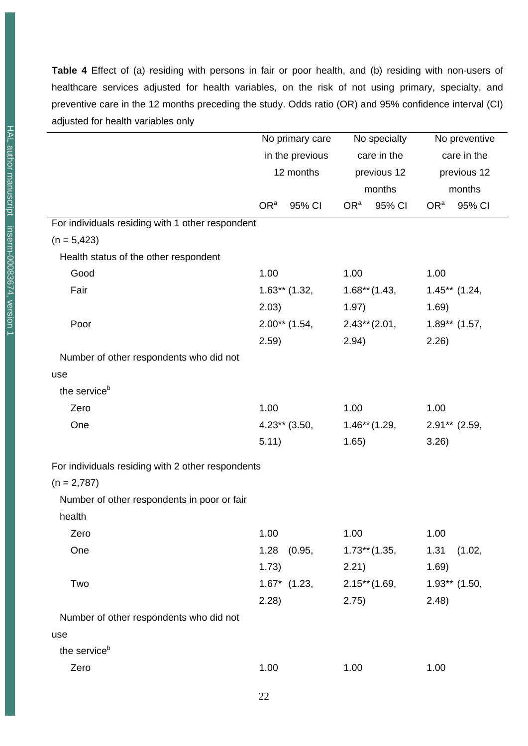**Table 4** Effect of (a) residing with persons in fair or poor health, and (b) residing with non-users of healthcare services adjusted for health variables, on the risk of not using primary, specialty, and preventive care in the 12 months preceding the study. Odds ratio (OR) and 95% confidence interval (CI) adjusted for health variables only

|                                                   | No primary care |                 | No specialty    |                 | No preventive   |                 |
|---------------------------------------------------|-----------------|-----------------|-----------------|-----------------|-----------------|-----------------|
|                                                   | in the previous |                 | care in the     |                 | care in the     |                 |
|                                                   | 12 months       |                 | previous 12     |                 | previous 12     |                 |
|                                                   |                 |                 | months          |                 | months          |                 |
|                                                   | OR <sup>a</sup> | 95% CI          | OR <sup>a</sup> | 95% CI          | OR <sup>a</sup> | 95% CI          |
| For individuals residing with 1 other respondent  |                 |                 |                 |                 |                 |                 |
| $(n = 5,423)$                                     |                 |                 |                 |                 |                 |                 |
| Health status of the other respondent             |                 |                 |                 |                 |                 |                 |
| Good                                              | 1.00            |                 | 1.00            |                 | 1.00            |                 |
| Fair                                              | $1.63**$ (1.32, |                 | $1.68**$ (1.43, |                 | $1.45**$ (1.24, |                 |
|                                                   | 2.03)           |                 | 1.97)           |                 | 1.69)           |                 |
| Poor                                              |                 | $2.00**$ (1.54, | $2.43**$ (2.01, |                 | $1.89**$ (1.57, |                 |
|                                                   | 2.59)           |                 | 2.94)           |                 | 2.26            |                 |
| Number of other respondents who did not           |                 |                 |                 |                 |                 |                 |
| use                                               |                 |                 |                 |                 |                 |                 |
| the service <sup>b</sup>                          |                 |                 |                 |                 |                 |                 |
| Zero                                              | 1.00            |                 | 1.00            |                 | 1.00            |                 |
| One                                               | $4.23**$ (3.50, |                 | $1.46**$ (1.29, |                 | $2.91**$ (2.59, |                 |
|                                                   | 5.11)           |                 | 1.65)           |                 | 3.26)           |                 |
| For individuals residing with 2 other respondents |                 |                 |                 |                 |                 |                 |
| $(n = 2,787)$                                     |                 |                 |                 |                 |                 |                 |
| Number of other respondents in poor or fair       |                 |                 |                 |                 |                 |                 |
| health                                            |                 |                 |                 |                 |                 |                 |
| Zero                                              | 1.00            |                 | 1.00            |                 | 1.00            |                 |
| One                                               |                 | $1.28$ $(0.95,$ |                 | $1.73**$ (1.35, | 1.31            | (1.02,          |
|                                                   | 1.73)           |                 | 2.21)           |                 | 1.69)           |                 |
| Two                                               |                 | $1.67^*$ (1.23, |                 | $2.15**$ (1.69, |                 | $1.93**$ (1.50, |
|                                                   | 2.28            |                 | 2.75)           |                 | (2.48)          |                 |
| Number of other respondents who did not           |                 |                 |                 |                 |                 |                 |
| use                                               |                 |                 |                 |                 |                 |                 |
| the service <sup>b</sup>                          |                 |                 |                 |                 |                 |                 |
| Zero                                              | 1.00            |                 | 1.00            |                 | 1.00            |                 |
|                                                   |                 |                 |                 |                 |                 |                 |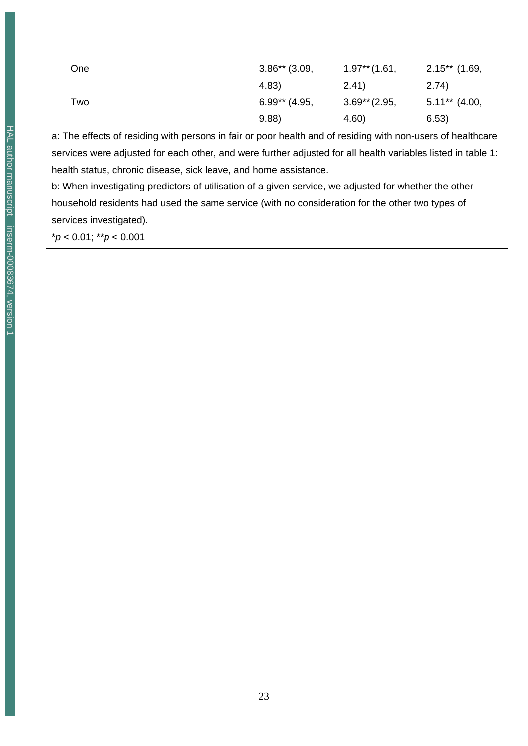| One | $3.86**$ (3.09, | $1.97**$ (1.61, | $2.15**$ (1.69,  |
|-----|-----------------|-----------------|------------------|
|     | 4.83)           | (2.41)          | (2.74)           |
| Two | $6.99**$ (4.95, | $3.69**$ (2.95, | $5.11***$ (4.00, |
|     | 9.88            | 4.60)           | 6.53)            |

a: The effects of residing with persons in fair or poor health and of residing with non-users of healthcare services were adjusted for each other, and were further adjusted for all health variables listed in table 1: health status, chronic disease, sick leave, and home assistance.

b: When investigating predictors of utilisation of a given service, we adjusted for whether the other household residents had used the same service (with no consideration for the other two types of services investigated).

\**p* < 0.01; \*\**p* < 0.001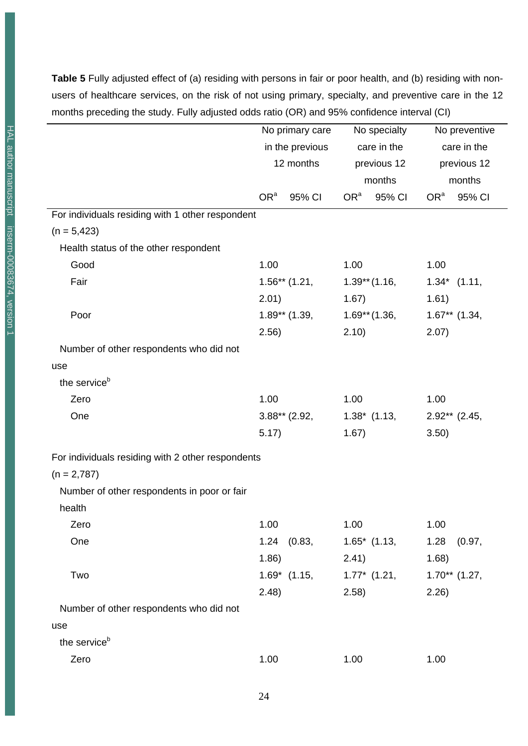**Table 5** Fully adjusted effect of (a) residing with persons in fair or poor health, and (b) residing with nonusers of healthcare services, on the risk of not using primary, specialty, and preventive care in the 12 months preceding the study. Fully adjusted odds ratio (OR) and 95% confidence interval (CI)

|                                                   | No primary care              |                 | No specialty               |                 | No preventive              |                  |
|---------------------------------------------------|------------------------------|-----------------|----------------------------|-----------------|----------------------------|------------------|
|                                                   | in the previous<br>12 months |                 | care in the<br>previous 12 |                 | care in the<br>previous 12 |                  |
|                                                   |                              |                 |                            |                 |                            |                  |
|                                                   |                              |                 | months                     |                 | months                     |                  |
|                                                   | OR <sup>a</sup>              | 95% CI          | OR <sup>a</sup>            | 95% CI          | OR <sup>a</sup>            | 95% CI           |
| For individuals residing with 1 other respondent  |                              |                 |                            |                 |                            |                  |
| $(n = 5,423)$                                     |                              |                 |                            |                 |                            |                  |
| Health status of the other respondent             |                              |                 |                            |                 |                            |                  |
| Good                                              | 1.00                         |                 | 1.00                       |                 | 1.00                       |                  |
| Fair                                              | $1.56**$ (1.21,              |                 | $1.39**$ (1.16,            |                 |                            | $1.34*$ $(1.11,$ |
|                                                   | 2.01)                        |                 | 1.67)                      |                 | 1.61)                      |                  |
| Poor                                              |                              | $1.89**$ (1.39, | $1.69**$ (1.36,            |                 | $1.67**$ (1.34,            |                  |
|                                                   | 2.56)                        |                 | 2.10)                      |                 | 2.07)                      |                  |
| Number of other respondents who did not           |                              |                 |                            |                 |                            |                  |
| use                                               |                              |                 |                            |                 |                            |                  |
| the service <sup>b</sup>                          |                              |                 |                            |                 |                            |                  |
| Zero                                              | 1.00                         |                 | 1.00                       |                 | 1.00                       |                  |
| One                                               |                              | $3.88**$ (2.92, |                            | $1.38^*$ (1.13, |                            | $2.92**$ (2.45,  |
|                                                   | 5.17)                        |                 | 1.67)                      |                 | 3.50)                      |                  |
| For individuals residing with 2 other respondents |                              |                 |                            |                 |                            |                  |
| $(n = 2,787)$                                     |                              |                 |                            |                 |                            |                  |
| Number of other respondents in poor or fair       |                              |                 |                            |                 |                            |                  |
| health                                            |                              |                 |                            |                 |                            |                  |
| Zero                                              | 1.00                         |                 | 1.00                       |                 | 1.00                       |                  |
| One                                               | 1.24                         | (0.83,          |                            | $1.65^*$ (1.13, | 1.28                       | (0.97,           |
|                                                   | 1.86)                        |                 | 2.41)                      |                 | 1.68)                      |                  |
| Two                                               |                              | $1.69^*$ (1.15, |                            | $1.77^*$ (1.21, |                            | $1.70**$ (1.27,  |
|                                                   | 2.48)                        |                 | 2.58)                      |                 | 2.26)                      |                  |
| Number of other respondents who did not           |                              |                 |                            |                 |                            |                  |
| use                                               |                              |                 |                            |                 |                            |                  |
| the service <sup>b</sup>                          |                              |                 |                            |                 |                            |                  |
| Zero                                              | 1.00                         |                 | 1.00                       |                 | 1.00                       |                  |

 $\overline{a}$